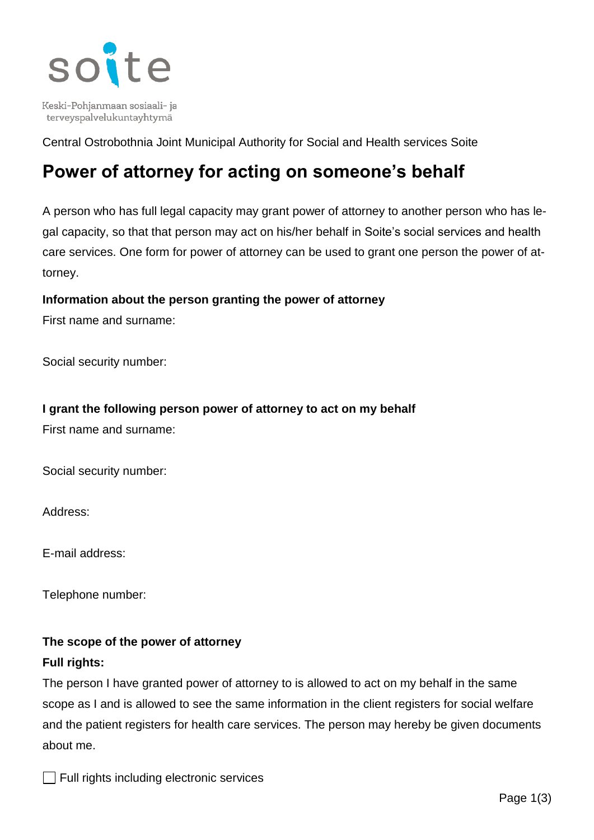

Keski-Pohjanmaan sosiaali- ja terveyspalvelukuntayhtymä

Central Ostrobothnia Joint Municipal Authority for Social and Health services Soite

# **Power of attorney for acting on someone's behalf**

A person who has full legal capacity may grant power of attorney to another person who has legal capacity, so that that person may act on his/her behalf in Soite's social services and health care services. One form for power of attorney can be used to grant one person the power of attorney.

#### **Information about the person granting the power of attorney**

First name and surname:

Social security number:

#### **I grant the following person power of attorney to act on my behalf**

First name and surname:

Social security number:

Address:

E-mail address:

Telephone number:

# **The scope of the power of attorney**

# **Full rights:**

The person I have granted power of attorney to is allowed to act on my behalf in the same scope as I and is allowed to see the same information in the client registers for social welfare and the patient registers for health care services. The person may hereby be given documents about me.

 $\Box$  Full rights including electronic services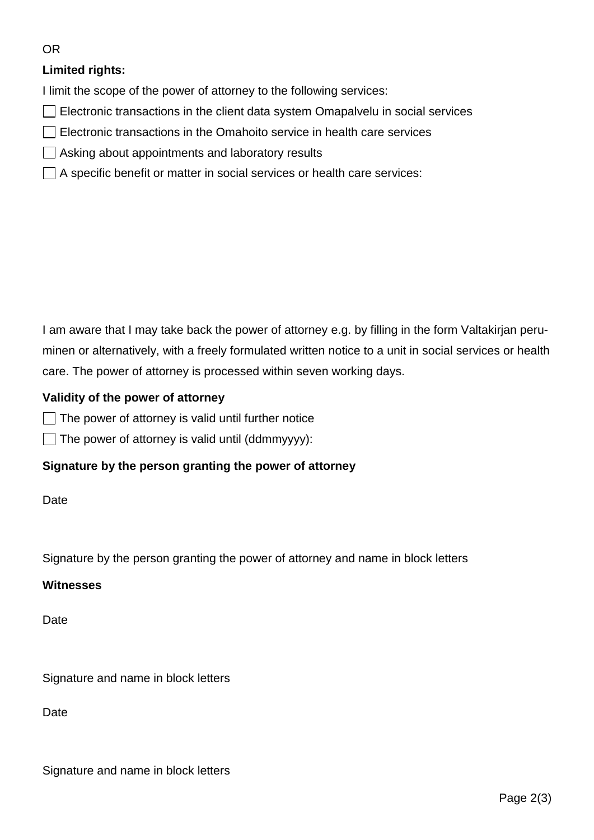#### OR

# **Limited rights:**

I limit the scope of the power of attorney to the following services:

- $\Box$  Electronic transactions in the client data system Omapalvelu in social services
- $\Box$  Electronic transactions in the Omahoito service in health care services
- $\Box$  Asking about appointments and laboratory results
- $\Box$  A specific benefit or matter in social services or health care services:

I am aware that I may take back the power of attorney e.g. by filling in the form Valtakirjan peruminen or alternatively, with a freely formulated written notice to a unit in social services or health care. The power of attorney is processed within seven working days.

#### **Validity of the power of attorney**

 $\Box$  The power of attorney is valid until further notice

 $\Box$  The power of attorney is valid until (ddmmyyyy):

#### **Signature by the person granting the power of attorney**

Date

Signature by the person granting the power of attorney and name in block letters

#### **Witnesses**

**Date** 

Signature and name in block letters

Date